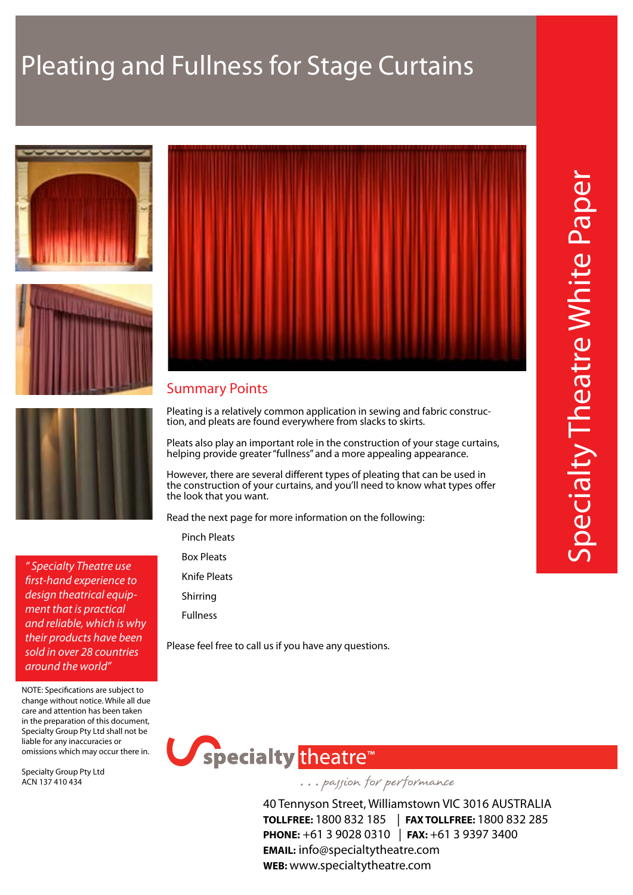# Pleating and Fullness for Stage Curtains







### Summary Points

Pleating is a relatively common application in sewing and fabric construction, and pleats are found everywhere from slacks to skirts.

Pleats also play an important role in the construction of your stage curtains, helping provide greater "fullness" and a more appealing appearance.

However, there are several different types of pleating that can be used in the construction of your curtains, and you'll need to know what types offer the look that you want.

Read the next page for more information on the following:

Pinch Pleats

Box Pleats

Knife Pleats

Shirring

Fullness

Please feel free to call us if you have any questions.



... passion for performance

40 Tennyson Street, Williamstown VIC 3016 AUSTRALIA **TOLLFREE:** 1800 832 185 | **FAX TOLLFREE:** 1800 832 285 **PHONE:** +61 3 9028 0310 | **FAX:** +61 3 9397 3400 **EMAIL:** info@specialtytheatre.com **WEB:** www.specialtytheatre.com



*" Specialty Theatre use first-hand experience to design theatrical equipment that is practical and reliable, which is why their products have been sold in over 28 countries around the world"*

NOTE: Specifications are subject to change without notice. While all due care and attention has been taken in the preparation of this document, Specialty Group Pty Ltd shall not be liable for any inaccuracies or omissions which may occur there in.

Specialty Group Pty Ltd ACN 137 410 434